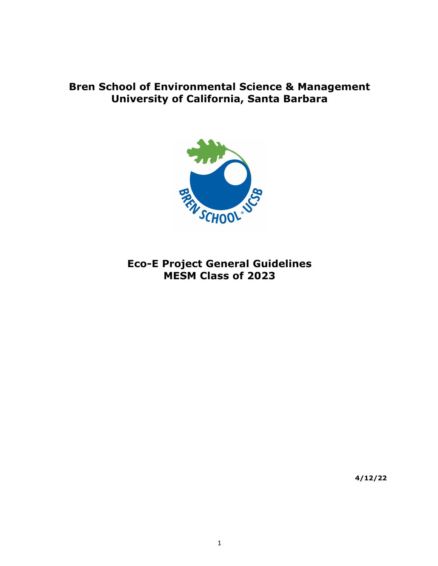# **Bren School of Environmental Science & Management University of California, Santa Barbara**



# **Eco-E Project General Guidelines MESM Class of 2023**

**4/12/22**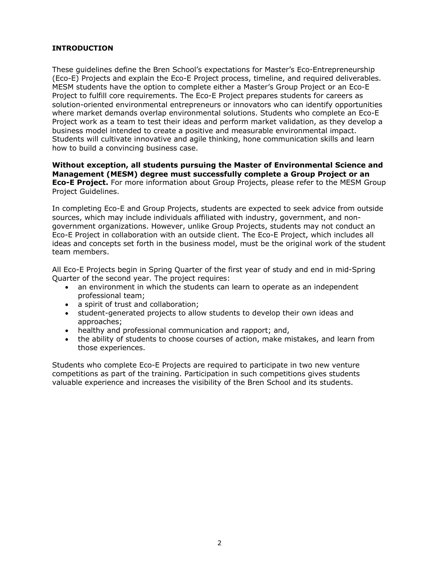### **INTRODUCTION**

These guidelines define the Bren School's expectations for Master's Eco-Entrepreneurship (Eco-E) Projects and explain the Eco-E Project process, timeline, and required deliverables. MESM students have the option to complete either a Master's Group Project or an Eco-E Project to fulfill core requirements. The Eco-E Project prepares students for careers as solution-oriented environmental entrepreneurs or innovators who can identify opportunities where market demands overlap environmental solutions. Students who complete an Eco-E Project work as a team to test their ideas and perform market validation, as they develop a business model intended to create a positive and measurable environmental impact. Students will cultivate innovative and agile thinking, hone communication skills and learn how to build a convincing business case.

#### **Without exception, all students pursuing the Master of Environmental Science and Management (MESM) degree must successfully complete a Group Project or an Eco-E Project.** For more information about Group Projects, please refer to the MESM Group Project Guidelines.

In completing Eco-E and Group Projects, students are expected to seek advice from outside sources, which may include individuals affiliated with industry, government, and nongovernment organizations. However, unlike Group Projects, students may not conduct an Eco-E Project in collaboration with an outside client. The Eco-E Project, which includes all ideas and concepts set forth in the business model, must be the original work of the student team members.

All Eco-E Projects begin in Spring Quarter of the first year of study and end in mid-Spring Quarter of the second year. The project requires:

- an environment in which the students can learn to operate as an independent professional team;
- a spirit of trust and collaboration;
- student-generated projects to allow students to develop their own ideas and approaches;
- healthy and professional communication and rapport; and,
- the ability of students to choose courses of action, make mistakes, and learn from those experiences.

Students who complete Eco-E Projects are required to participate in two new venture competitions as part of the training. Participation in such competitions gives students valuable experience and increases the visibility of the Bren School and its students.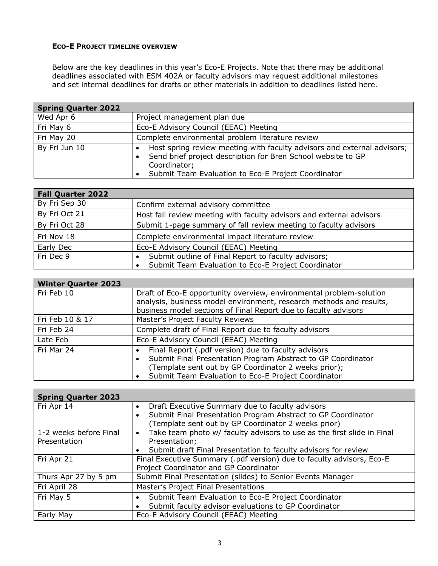### **ECO-E PROJECT TIMELINE OVERVIEW**

Below are the key deadlines in this year's Eco-E Projects. Note that there may be additional deadlines associated with ESM 402A or faculty advisors may request additional milestones and set internal deadlines for drafts or other materials in addition to deadlines listed here.

| <b>Spring Quarter 2022</b> |                                                                                                                                                                                                                     |  |
|----------------------------|---------------------------------------------------------------------------------------------------------------------------------------------------------------------------------------------------------------------|--|
| Wed Apr 6                  | Project management plan due                                                                                                                                                                                         |  |
| Fri May 6                  | Eco-E Advisory Council (EEAC) Meeting                                                                                                                                                                               |  |
| Fri May 20                 | Complete environmental problem literature review                                                                                                                                                                    |  |
| By Fri Jun 10              | Host spring review meeting with faculty advisors and external advisors;<br>٠<br>Send brief project description for Bren School website to GP<br>Coordinator;<br>Submit Team Evaluation to Eco-E Project Coordinator |  |

| <b>Fall Quarter 2022</b> |                                                                      |  |
|--------------------------|----------------------------------------------------------------------|--|
| By Fri Sep 30            | Confirm external advisory committee                                  |  |
| By Fri Oct 21            | Host fall review meeting with faculty advisors and external advisors |  |
| By Fri Oct 28            | Submit 1-page summary of fall review meeting to faculty advisors     |  |
| Fri Nov 18               | Complete environmental impact literature review                      |  |
| Early Dec                | Eco-E Advisory Council (EEAC) Meeting                                |  |
| Fri Dec 9                | Submit outline of Final Report to faculty advisors;                  |  |
|                          | Submit Team Evaluation to Eco-E Project Coordinator                  |  |

| <b>Winter Quarter 2023</b> |                                                                                                                                                                                                                                    |  |
|----------------------------|------------------------------------------------------------------------------------------------------------------------------------------------------------------------------------------------------------------------------------|--|
| Fri Feb 10                 | Draft of Eco-E opportunity overview, environmental problem-solution<br>analysis, business model environment, research methods and results,<br>business model sections of Final Report due to faculty advisors                      |  |
| Fri Feb 10 & 17            | Master's Project Faculty Reviews                                                                                                                                                                                                   |  |
| Fri Feb 24                 | Complete draft of Final Report due to faculty advisors                                                                                                                                                                             |  |
| Late Feb                   | Eco-E Advisory Council (EEAC) Meeting                                                                                                                                                                                              |  |
| Fri Mar 24                 | Final Report (.pdf version) due to faculty advisors<br>Submit Final Presentation Program Abstract to GP Coordinator<br>(Template sent out by GP Coordinator 2 weeks prior);<br>Submit Team Evaluation to Eco-E Project Coordinator |  |

| <b>Spring Quarter 2023</b> |                                                                                     |  |
|----------------------------|-------------------------------------------------------------------------------------|--|
| Fri Apr 14                 | Draft Executive Summary due to faculty advisors<br>$\bullet$                        |  |
|                            | Submit Final Presentation Program Abstract to GP Coordinator<br>$\bullet$           |  |
|                            | (Template sent out by GP Coordinator 2 weeks prior)                                 |  |
| 1-2 weeks before Final     | Take team photo w/ faculty advisors to use as the first slide in Final<br>$\bullet$ |  |
| Presentation               | Presentation;                                                                       |  |
|                            | Submit draft Final Presentation to faculty advisors for review<br>$\bullet$         |  |
| Fri Apr 21                 | Final Executive Summary (.pdf version) due to faculty advisors, Eco-E               |  |
|                            | Project Coordinator and GP Coordinator                                              |  |
| Thurs Apr 27 by 5 pm       | Submit Final Presentation (slides) to Senior Events Manager                         |  |
| Fri April 28               | Master's Project Final Presentations                                                |  |
| Fri May 5                  | Submit Team Evaluation to Eco-E Project Coordinator<br>$\bullet$                    |  |
|                            | Submit faculty advisor evaluations to GP Coordinator<br>٠                           |  |
| Early May                  | Eco-E Advisory Council (EEAC) Meeting                                               |  |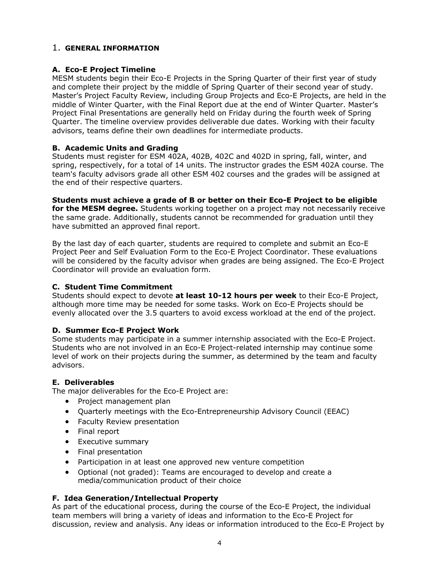# 1. **GENERAL INFORMATION**

## **A. Eco-E Project Timeline**

MESM students begin their Eco-E Projects in the Spring Quarter of their first year of study and complete their project by the middle of Spring Quarter of their second year of study. Master's Project Faculty Review, including Group Projects and Eco-E Projects, are held in the middle of Winter Quarter, with the Final Report due at the end of Winter Quarter. Master's Project Final Presentations are generally held on Friday during the fourth week of Spring Quarter. The timeline overview provides deliverable due dates. Working with their faculty advisors, teams define their own deadlines for intermediate products.

### **B. Academic Units and Grading**

Students must register for ESM 402A, 402B, 402C and 402D in spring, fall, winter, and spring, respectively, for a total of 14 units. The instructor grades the ESM 402A course. The team's faculty advisors grade all other ESM 402 courses and the grades will be assigned at the end of their respective quarters.

**Students must achieve a grade of B or better on their Eco-E Project to be eligible for the MESM degree.** Students working together on a project may not necessarily receive the same grade. Additionally, students cannot be recommended for graduation until they have submitted an approved final report.

By the last day of each quarter, students are required to complete and submit an Eco-E Project Peer and Self Evaluation Form to the Eco-E Project Coordinator. These evaluations will be considered by the faculty advisor when grades are being assigned. The Eco-E Project Coordinator will provide an evaluation form.

### **C. Student Time Commitment**

Students should expect to devote **at least 10-12 hours per week** to their Eco-E Project, although more time may be needed for some tasks. Work on Eco-E Projects should be evenly allocated over the 3.5 quarters to avoid excess workload at the end of the project.

### **D. Summer Eco-E Project Work**

Some students may participate in a summer internship associated with the Eco-E Project. Students who are not involved in an Eco-E Project-related internship may continue some level of work on their projects during the summer, as determined by the team and faculty advisors.

### **E. Deliverables**

The major deliverables for the Eco-E Project are:

- Project management plan
- Quarterly meetings with the Eco-Entrepreneurship Advisory Council (EEAC)
- Faculty Review presentation
- Final report
- Executive summary
- Final presentation
- Participation in at least one approved new venture competition
- Optional (not graded): Teams are encouraged to develop and create a media/communication product of their choice

### **F. Idea Generation/Intellectual Property**

As part of the educational process, during the course of the Eco-E Project, the individual team members will bring a variety of ideas and information to the Eco-E Project for discussion, review and analysis. Any ideas or information introduced to the Eco-E Project by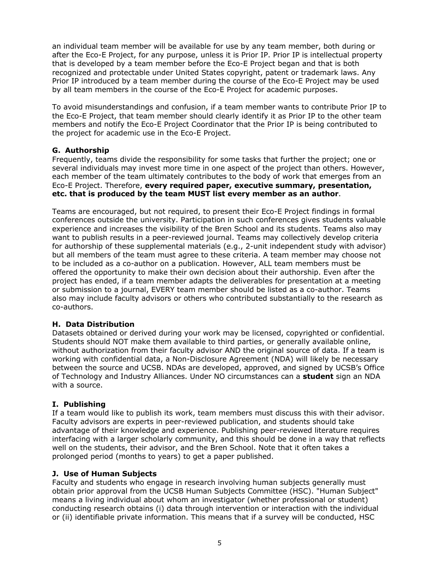an individual team member will be available for use by any team member, both during or after the Eco-E Project, for any purpose, unless it is Prior IP. Prior IP is intellectual property that is developed by a team member before the Eco-E Project began and that is both recognized and protectable under United States copyright, patent or trademark laws. Any Prior IP introduced by a team member during the course of the Eco-E Project may be used by all team members in the course of the Eco-E Project for academic purposes.

To avoid misunderstandings and confusion, if a team member wants to contribute Prior IP to the Eco-E Project, that team member should clearly identify it as Prior IP to the other team members and notify the Eco-E Project Coordinator that the Prior IP is being contributed to the project for academic use in the Eco-E Project.

### **G. Authorship**

Frequently, teams divide the responsibility for some tasks that further the project; one or several individuals may invest more time in one aspect of the project than others. However, each member of the team ultimately contributes to the body of work that emerges from an Eco-E Project. Therefore, **every required paper, executive summary, presentation, etc. that is produced by the team MUST list every member as an author**.

Teams are encouraged, but not required, to present their Eco-E Project findings in formal conferences outside the university. Participation in such conferences gives students valuable experience and increases the visibility of the Bren School and its students. Teams also may want to publish results in a peer-reviewed journal. Teams may collectively develop criteria for authorship of these supplemental materials (e.g., 2-unit independent study with advisor) but all members of the team must agree to these criteria. A team member may choose not to be included as a co-author on a publication. However, ALL team members must be offered the opportunity to make their own decision about their authorship. Even after the project has ended, if a team member adapts the deliverables for presentation at a meeting or submission to a journal, EVERY team member should be listed as a co-author. Teams also may include faculty advisors or others who contributed substantially to the research as co-authors.

#### **H. Data Distribution**

Datasets obtained or derived during your work may be licensed, copyrighted or confidential. Students should NOT make them available to third parties, or generally available online, without authorization from their faculty advisor AND the original source of data. If a team is working with confidential data, a Non-Disclosure Agreement (NDA) will likely be necessary between the source and UCSB. NDAs are developed, approved, and signed by UCSB's Office of Technology and Industry Alliances. Under NO circumstances can a **student** sign an NDA with a source.

### **I. Publishing**

If a team would like to publish its work, team members must discuss this with their advisor. Faculty advisors are experts in peer-reviewed publication, and students should take advantage of their knowledge and experience. Publishing peer-reviewed literature requires interfacing with a larger scholarly community, and this should be done in a way that reflects well on the students, their advisor, and the Bren School. Note that it often takes a prolonged period (months to years) to get a paper published.

#### **J. Use of Human Subjects**

Faculty and students who engage in research involving human subjects generally must obtain prior approval from the UCSB Human Subjects Committee (HSC). "Human Subject" means a living individual about whom an investigator (whether professional or student) conducting research obtains (i) data through intervention or interaction with the individual or (ii) identifiable private information. This means that if a survey will be conducted, HSC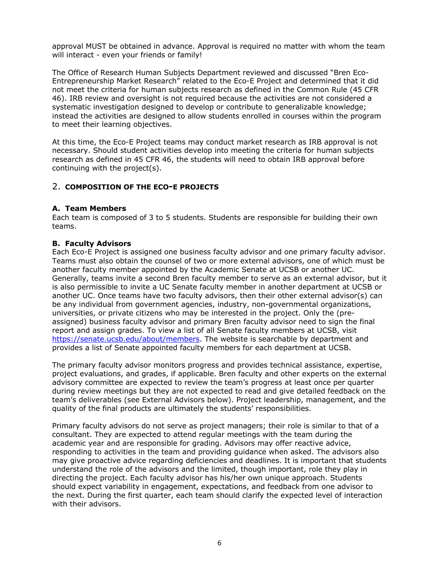approval MUST be obtained in advance. Approval is required no matter with whom the team will interact - even your friends or family!

The Office of Research Human Subjects Department reviewed and discussed "Bren Eco-Entrepreneurship Market Research" related to the Eco-E Project and determined that it did not meet the criteria for human subjects research as defined in the Common Rule (45 CFR 46). IRB review and oversight is not required because the activities are not considered a systematic investigation designed to develop or contribute to generalizable knowledge; instead the activities are designed to allow students enrolled in courses within the program to meet their learning objectives.

At this time, the Eco-E Project teams may conduct market research as IRB approval is not necessary. Should student activities develop into meeting the criteria for human subjects research as defined in 45 CFR 46, the students will need to obtain IRB approval before continuing with the project(s).

# 2. **COMPOSITION OF THE ECO-E PROJECTS**

### **A. Team Members**

Each team is composed of 3 to 5 students. Students are responsible for building their own teams.

### **B. Faculty Advisors**

Each Eco-E Project is assigned one business faculty advisor and one primary faculty advisor. Teams must also obtain the counsel of two or more external advisors, one of which must be another faculty member appointed by the Academic Senate at UCSB or another UC. Generally, teams invite a second Bren faculty member to serve as an external advisor, but it is also permissible to invite a UC Senate faculty member in another department at UCSB or another UC. Once teams have two faculty advisors, then their other external advisor(s) can be any individual from government agencies, industry, non-governmental organizations, universities, or private citizens who may be interested in the project. Only the (preassigned) business faculty advisor and primary Bren faculty advisor need to sign the final report and assign grades. To view a list of all Senate faculty members at UCSB, visit https://senate.ucsb.edu/about/members. The website is searchable by department and provides a list of Senate appointed faculty members for each department at UCSB.

The primary faculty advisor monitors progress and provides technical assistance, expertise, project evaluations, and grades, if applicable. Bren faculty and other experts on the external advisory committee are expected to review the team's progress at least once per quarter during review meetings but they are not expected to read and give detailed feedback on the team's deliverables (see External Advisors below). Project leadership, management, and the quality of the final products are ultimately the students' responsibilities.

Primary faculty advisors do not serve as project managers; their role is similar to that of a consultant. They are expected to attend regular meetings with the team during the academic year and are responsible for grading. Advisors may offer reactive advice, responding to activities in the team and providing guidance when asked. The advisors also may give proactive advice regarding deficiencies and deadlines. It is important that students understand the role of the advisors and the limited, though important, role they play in directing the project. Each faculty advisor has his/her own unique approach. Students should expect variability in engagement, expectations, and feedback from one advisor to the next. During the first quarter, each team should clarify the expected level of interaction with their advisors.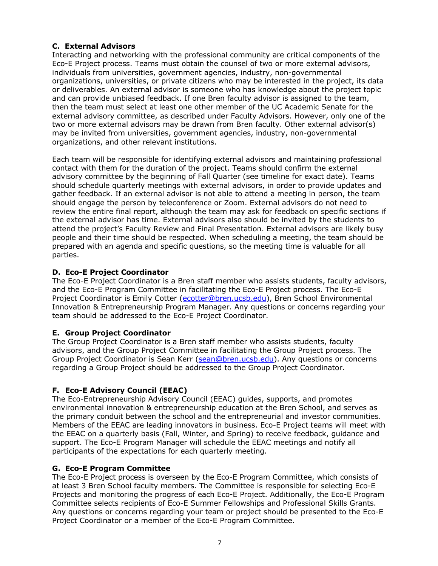# **C. External Advisors**

Interacting and networking with the professional community are critical components of the Eco-E Project process. Teams must obtain the counsel of two or more external advisors, individuals from universities, government agencies, industry, non-governmental organizations, universities, or private citizens who may be interested in the project, its data or deliverables. An external advisor is someone who has knowledge about the project topic and can provide unbiased feedback. If one Bren faculty advisor is assigned to the team, then the team must select at least one other member of the UC Academic Senate for the external advisory committee, as described under Faculty Advisors. However, only one of the two or more external advisors may be drawn from Bren faculty. Other external advisor(s) may be invited from universities, government agencies, industry, non-governmental organizations, and other relevant institutions.

Each team will be responsible for identifying external advisors and maintaining professional contact with them for the duration of the project. Teams should confirm the external advisory committee by the beginning of Fall Quarter (see timeline for exact date). Teams should schedule quarterly meetings with external advisors, in order to provide updates and gather feedback. If an external advisor is not able to attend a meeting in person, the team should engage the person by teleconference or Zoom. External advisors do not need to review the entire final report, although the team may ask for feedback on specific sections if the external advisor has time. External advisors also should be invited by the students to attend the project's Faculty Review and Final Presentation. External advisors are likely busy people and their time should be respected. When scheduling a meeting, the team should be prepared with an agenda and specific questions, so the meeting time is valuable for all parties.

# **D. Eco-E Project Coordinator**

The Eco-E Project Coordinator is a Bren staff member who assists students, faculty advisors, and the Eco-E Program Committee in facilitating the Eco-E Project process. The Eco-E Project Coordinator is Emily Cotter (ecotter@bren.ucsb.edu), Bren School Environmental Innovation & Entrepreneurship Program Manager. Any questions or concerns regarding your team should be addressed to the Eco-E Project Coordinator.

# **E. Group Project Coordinator**

The Group Project Coordinator is a Bren staff member who assists students, faculty advisors, and the Group Project Committee in facilitating the Group Project process. The Group Project Coordinator is Sean Kerr (sean@bren.ucsb.edu). Any questions or concerns regarding a Group Project should be addressed to the Group Project Coordinator.

# **F. Eco-E Advisory Council (EEAC)**

The Eco-Entrepreneurship Advisory Council (EEAC) guides, supports, and promotes environmental innovation & entrepreneurship education at the Bren School, and serves as the primary conduit between the school and the entrepreneurial and investor communities. Members of the EEAC are leading innovators in business. Eco-E Project teams will meet with the EEAC on a quarterly basis (Fall, Winter, and Spring) to receive feedback, guidance and support. The Eco-E Program Manager will schedule the EEAC meetings and notify all participants of the expectations for each quarterly meeting.

# **G. Eco-E Program Committee**

The Eco-E Project process is overseen by the Eco-E Program Committee, which consists of at least 3 Bren School faculty members. The Committee is responsible for selecting Eco-E Projects and monitoring the progress of each Eco-E Project. Additionally, the Eco-E Program Committee selects recipients of Eco-E Summer Fellowships and Professional Skills Grants. Any questions or concerns regarding your team or project should be presented to the Eco-E Project Coordinator or a member of the Eco-E Program Committee.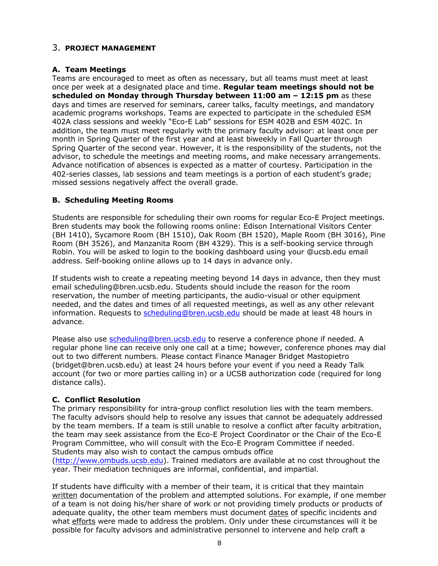## 3. **PROJECT MANAGEMENT**

## **A. Team Meetings**

Teams are encouraged to meet as often as necessary, but all teams must meet at least once per week at a designated place and time. **Regular team meetings should not be scheduled on Monday through Thursday between 11:00 am – 12:15 pm** as these days and times are reserved for seminars, career talks, faculty meetings, and mandatory academic programs workshops. Teams are expected to participate in the scheduled ESM 402A class sessions and weekly "Eco-E Lab" sessions for ESM 402B and ESM 402C. In addition, the team must meet regularly with the primary faculty advisor: at least once per month in Spring Quarter of the first year and at least biweekly in Fall Quarter through Spring Quarter of the second year. However, it is the responsibility of the students, not the advisor, to schedule the meetings and meeting rooms, and make necessary arrangements. Advance notification of absences is expected as a matter of courtesy. Participation in the 402-series classes, lab sessions and team meetings is a portion of each student's grade; missed sessions negatively affect the overall grade.

# **B. Scheduling Meeting Rooms**

Students are responsible for scheduling their own rooms for regular Eco-E Project meetings. Bren students may book the following rooms online: Edison International Visitors Center (BH 1410), Sycamore Room (BH 1510), Oak Room (BH 1520), Maple Room (BH 3016), Pine Room (BH 3526), and Manzanita Room (BH 4329). This is a self-booking service through Robin. You will be asked to login to the booking dashboard using your @ucsb.edu email address. Self-booking online allows up to 14 days in advance only.

If students wish to create a repeating meeting beyond 14 days in advance, then they must email scheduling@bren.ucsb.edu. Students should include the reason for the room reservation, the number of meeting participants, the audio-visual or other equipment needed, and the dates and times of all requested meetings, as well as any other relevant information. Requests to scheduling@bren.ucsb.edu should be made at least 48 hours in advance.

Please also use scheduling@bren.ucsb.edu to reserve a conference phone if needed. A regular phone line can receive only one call at a time; however, conference phones may dial out to two different numbers. Please contact Finance Manager Bridget Mastopietro (bridget@bren.ucsb.edu) at least 24 hours before your event if you need a Ready Talk account (for two or more parties calling in) or a UCSB authorization code (required for long distance calls).

# **C. Conflict Resolution**

The primary responsibility for intra-group conflict resolution lies with the team members. The faculty advisors should help to resolve any issues that cannot be adequately addressed by the team members. If a team is still unable to resolve a conflict after faculty arbitration, the team may seek assistance from the Eco-E Project Coordinator or the Chair of the Eco-E Program Committee, who will consult with the Eco-E Program Committee if needed. Students may also wish to contact the campus ombuds office

(http://www.ombuds.ucsb.edu). Trained mediators are available at no cost throughout the year. Their mediation techniques are informal, confidential, and impartial.

If students have difficulty with a member of their team, it is critical that they maintain written documentation of the problem and attempted solutions. For example, if one member of a team is not doing his/her share of work or not providing timely products or products of adequate quality, the other team members must document dates of specific incidents and what efforts were made to address the problem. Only under these circumstances will it be possible for faculty advisors and administrative personnel to intervene and help craft a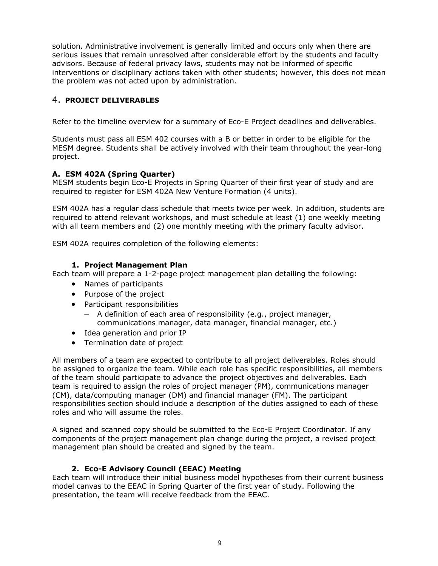solution. Administrative involvement is generally limited and occurs only when there are serious issues that remain unresolved after considerable effort by the students and faculty advisors. Because of federal privacy laws, students may not be informed of specific interventions or disciplinary actions taken with other students; however, this does not mean the problem was not acted upon by administration.

# 4. **PROJECT DELIVERABLES**

Refer to the timeline overview for a summary of Eco-E Project deadlines and deliverables.

Students must pass all ESM 402 courses with a B or better in order to be eligible for the MESM degree. Students shall be actively involved with their team throughout the year-long project.

### **A. ESM 402A (Spring Quarter)**

MESM students begin Eco-E Projects in Spring Quarter of their first year of study and are required to register for ESM 402A New Venture Formation (4 units).

ESM 402A has a regular class schedule that meets twice per week. In addition, students are required to attend relevant workshops, and must schedule at least (1) one weekly meeting with all team members and (2) one monthly meeting with the primary faculty advisor.

ESM 402A requires completion of the following elements:

### **1. Project Management Plan**

Each team will prepare a 1-2-page project management plan detailing the following:

- Names of participants
- Purpose of the project
- Participant responsibilities
	- A definition of each area of responsibility (e.g., project manager, communications manager, data manager, financial manager, etc.)
- Idea generation and prior IP
- Termination date of project

All members of a team are expected to contribute to all project deliverables. Roles should be assigned to organize the team. While each role has specific responsibilities, all members of the team should participate to advance the project objectives and deliverables. Each team is required to assign the roles of project manager (PM), communications manager (CM), data/computing manager (DM) and financial manager (FM). The participant responsibilities section should include a description of the duties assigned to each of these roles and who will assume the roles.

A signed and scanned copy should be submitted to the Eco-E Project Coordinator. If any components of the project management plan change during the project, a revised project management plan should be created and signed by the team.

### **2. Eco-E Advisory Council (EEAC) Meeting**

Each team will introduce their initial business model hypotheses from their current business model canvas to the EEAC in Spring Quarter of the first year of study. Following the presentation, the team will receive feedback from the EEAC.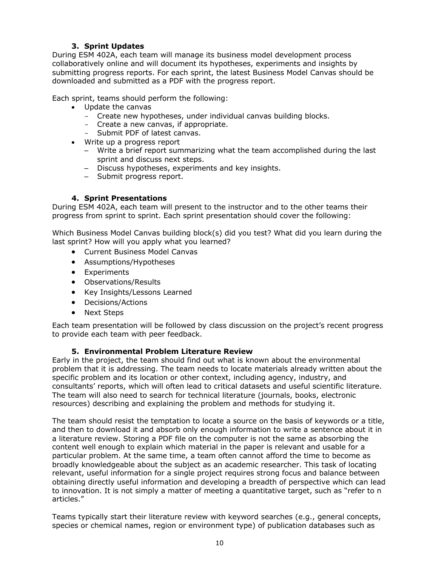# **3. Sprint Updates**

During ESM 402A, each team will manage its business model development process collaboratively online and will document its hypotheses, experiments and insights by submitting progress reports. For each sprint, the latest Business Model Canvas should be downloaded and submitted as a PDF with the progress report.

Each sprint, teams should perform the following:

- Update the canvas
	- Create new hypotheses, under individual canvas building blocks.
	- Create a new canvas, if appropriate.
	- Submit PDF of latest canvas.
- Write up a progress report
	- Write a brief report summarizing what the team accomplished during the last sprint and discuss next steps.
	- Discuss hypotheses, experiments and key insights.
	- Submit progress report.

### **4. Sprint Presentations**

During ESM 402A, each team will present to the instructor and to the other teams their progress from sprint to sprint. Each sprint presentation should cover the following:

Which Business Model Canvas building block(s) did you test? What did you learn during the last sprint? How will you apply what you learned?

- Current Business Model Canvas
- Assumptions/Hypotheses
- Experiments
- Observations/Results
- Key Insights/Lessons Learned
- Decisions/Actions
- Next Steps

Each team presentation will be followed by class discussion on the project's recent progress to provide each team with peer feedback.

#### **5. Environmental Problem Literature Review**

Early in the project, the team should find out what is known about the environmental problem that it is addressing. The team needs to locate materials already written about the specific problem and its location or other context, including agency, industry, and consultants' reports, which will often lead to critical datasets and useful scientific literature. The team will also need to search for technical literature (journals, books, electronic resources) describing and explaining the problem and methods for studying it.

The team should resist the temptation to locate a source on the basis of keywords or a title, and then to download it and absorb only enough information to write a sentence about it in a literature review. Storing a PDF file on the computer is not the same as absorbing the content well enough to explain which material in the paper is relevant and usable for a particular problem. At the same time, a team often cannot afford the time to become as broadly knowledgeable about the subject as an academic researcher. This task of locating relevant, useful information for a single project requires strong focus and balance between obtaining directly useful information and developing a breadth of perspective which can lead to innovation. It is not simply a matter of meeting a quantitative target, such as "refer to n articles."

Teams typically start their literature review with keyword searches (e.g., general concepts, species or chemical names, region or environment type) of publication databases such as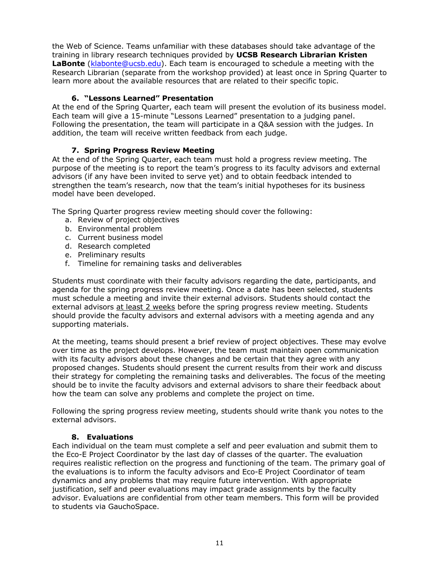the Web of Science. Teams unfamiliar with these databases should take advantage of the training in library research techniques provided by **UCSB Research Librarian Kristen LaBonte** (klabonte@ucsb.edu). Each team is encouraged to schedule a meeting with the Research Librarian (separate from the workshop provided) at least once in Spring Quarter to learn more about the available resources that are related to their specific topic.

## **6. "Lessons Learned" Presentation**

At the end of the Spring Quarter, each team will present the evolution of its business model. Each team will give a 15-minute "Lessons Learned" presentation to a judging panel. Following the presentation, the team will participate in a Q&A session with the judges. In addition, the team will receive written feedback from each judge.

# **7. Spring Progress Review Meeting**

At the end of the Spring Quarter, each team must hold a progress review meeting. The purpose of the meeting is to report the team's progress to its faculty advisors and external advisors (if any have been invited to serve yet) and to obtain feedback intended to strengthen the team's research, now that the team's initial hypotheses for its business model have been developed.

The Spring Quarter progress review meeting should cover the following:

- a. Review of project objectives
- b. Environmental problem
- c. Current business model
- d. Research completed
- e. Preliminary results
- f. Timeline for remaining tasks and deliverables

Students must coordinate with their faculty advisors regarding the date, participants, and agenda for the spring progress review meeting. Once a date has been selected, students must schedule a meeting and invite their external advisors. Students should contact the external advisors at least 2 weeks before the spring progress review meeting. Students should provide the faculty advisors and external advisors with a meeting agenda and any supporting materials.

At the meeting, teams should present a brief review of project objectives. These may evolve over time as the project develops. However, the team must maintain open communication with its faculty advisors about these changes and be certain that they agree with any proposed changes. Students should present the current results from their work and discuss their strategy for completing the remaining tasks and deliverables. The focus of the meeting should be to invite the faculty advisors and external advisors to share their feedback about how the team can solve any problems and complete the project on time.

Following the spring progress review meeting, students should write thank you notes to the external advisors.

### **8. Evaluations**

Each individual on the team must complete a self and peer evaluation and submit them to the Eco-E Project Coordinator by the last day of classes of the quarter. The evaluation requires realistic reflection on the progress and functioning of the team. The primary goal of the evaluations is to inform the faculty advisors and Eco-E Project Coordinator of team dynamics and any problems that may require future intervention. With appropriate justification, self and peer evaluations may impact grade assignments by the faculty advisor. Evaluations are confidential from other team members. This form will be provided to students via GauchoSpace.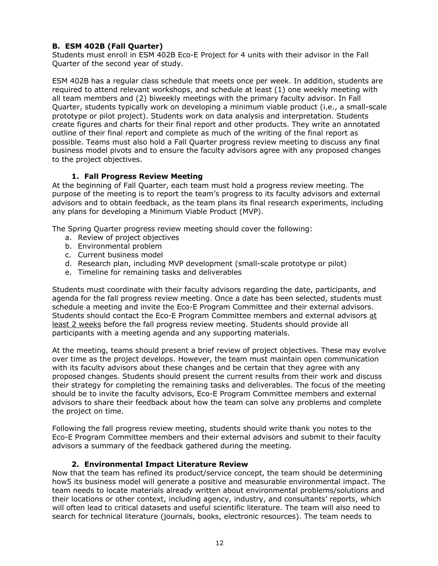## **B. ESM 402B (Fall Quarter)**

Students must enroll in ESM 402B Eco-E Project for 4 units with their advisor in the Fall Quarter of the second year of study.

ESM 402B has a regular class schedule that meets once per week. In addition, students are required to attend relevant workshops, and schedule at least (1) one weekly meeting with all team members and (2) biweekly meetings with the primary faculty advisor. In Fall Quarter, students typically work on developing a minimum viable product (i.e., a small-scale prototype or pilot project). Students work on data analysis and interpretation. Students create figures and charts for their final report and other products. They write an annotated outline of their final report and complete as much of the writing of the final report as possible. Teams must also hold a Fall Quarter progress review meeting to discuss any final business model pivots and to ensure the faculty advisors agree with any proposed changes to the project objectives.

### **1. Fall Progress Review Meeting**

At the beginning of Fall Quarter, each team must hold a progress review meeting. The purpose of the meeting is to report the team's progress to its faculty advisors and external advisors and to obtain feedback, as the team plans its final research experiments, including any plans for developing a Minimum Viable Product (MVP).

The Spring Quarter progress review meeting should cover the following:

- a. Review of project objectives
- b. Environmental problem
- c. Current business model
- d. Research plan, including MVP development (small-scale prototype or pilot)
- e. Timeline for remaining tasks and deliverables

Students must coordinate with their faculty advisors regarding the date, participants, and agenda for the fall progress review meeting. Once a date has been selected, students must schedule a meeting and invite the Eco-E Program Committee and their external advisors. Students should contact the Eco-E Program Committee members and external advisors at least 2 weeks before the fall progress review meeting. Students should provide all participants with a meeting agenda and any supporting materials.

At the meeting, teams should present a brief review of project objectives. These may evolve over time as the project develops. However, the team must maintain open communication with its faculty advisors about these changes and be certain that they agree with any proposed changes. Students should present the current results from their work and discuss their strategy for completing the remaining tasks and deliverables. The focus of the meeting should be to invite the faculty advisors, Eco-E Program Committee members and external advisors to share their feedback about how the team can solve any problems and complete the project on time.

Following the fall progress review meeting, students should write thank you notes to the Eco-E Program Committee members and their external advisors and submit to their faculty advisors a summary of the feedback gathered during the meeting.

### **2. Environmental Impact Literature Review**

Now that the team has refined its product/service concept, the team should be determining how5 its business model will generate a positive and measurable environmental impact. The team needs to locate materials already written about environmental problems/solutions and their locations or other context, including agency, industry, and consultants' reports, which will often lead to critical datasets and useful scientific literature. The team will also need to search for technical literature (journals, books, electronic resources). The team needs to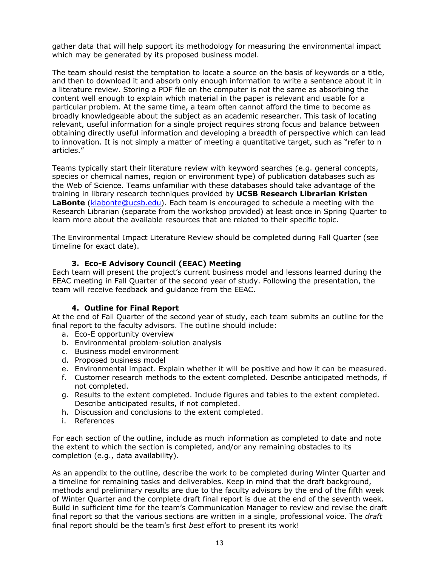gather data that will help support its methodology for measuring the environmental impact which may be generated by its proposed business model.

The team should resist the temptation to locate a source on the basis of keywords or a title, and then to download it and absorb only enough information to write a sentence about it in a literature review. Storing a PDF file on the computer is not the same as absorbing the content well enough to explain which material in the paper is relevant and usable for a particular problem. At the same time, a team often cannot afford the time to become as broadly knowledgeable about the subject as an academic researcher. This task of locating relevant, useful information for a single project requires strong focus and balance between obtaining directly useful information and developing a breadth of perspective which can lead to innovation. It is not simply a matter of meeting a quantitative target, such as "refer to n articles."

Teams typically start their literature review with keyword searches (e.g. general concepts, species or chemical names, region or environment type) of publication databases such as the Web of Science. Teams unfamiliar with these databases should take advantage of the training in library research techniques provided by **UCSB Research Librarian Kristen LaBonte** (klabonte@ucsb.edu). Each team is encouraged to schedule a meeting with the Research Librarian (separate from the workshop provided) at least once in Spring Quarter to learn more about the available resources that are related to their specific topic.

The Environmental Impact Literature Review should be completed during Fall Quarter (see timeline for exact date).

### **3. Eco-E Advisory Council (EEAC) Meeting**

Each team will present the project's current business model and lessons learned during the EEAC meeting in Fall Quarter of the second year of study. Following the presentation, the team will receive feedback and guidance from the EEAC.

#### **4. Outline for Final Report**

At the end of Fall Quarter of the second year of study, each team submits an outline for the final report to the faculty advisors. The outline should include:

- a. Eco-E opportunity overview
- b. Environmental problem-solution analysis
- c. Business model environment
- d. Proposed business model
- e. Environmental impact. Explain whether it will be positive and how it can be measured.
- f. Customer research methods to the extent completed. Describe anticipated methods, if not completed.
- g. Results to the extent completed. Include figures and tables to the extent completed. Describe anticipated results, if not completed.
- h. Discussion and conclusions to the extent completed.
- i. References

For each section of the outline, include as much information as completed to date and note the extent to which the section is completed, and/or any remaining obstacles to its completion (e.g., data availability).

As an appendix to the outline, describe the work to be completed during Winter Quarter and a timeline for remaining tasks and deliverables. Keep in mind that the draft background, methods and preliminary results are due to the faculty advisors by the end of the fifth week of Winter Quarter and the complete draft final report is due at the end of the seventh week. Build in sufficient time for the team's Communication Manager to review and revise the draft final report so that the various sections are written in a single, professional voice. The *draft* final report should be the team's first *best* effort to present its work!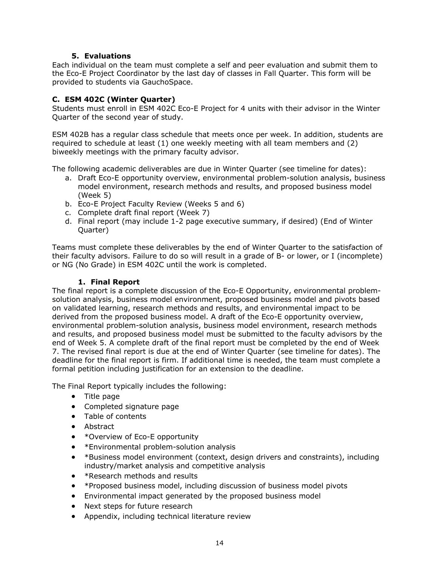### **5. Evaluations**

Each individual on the team must complete a self and peer evaluation and submit them to the Eco-E Project Coordinator by the last day of classes in Fall Quarter. This form will be provided to students via GauchoSpace.

## **C. ESM 402C (Winter Quarter)**

Students must enroll in ESM 402C Eco-E Project for 4 units with their advisor in the Winter Quarter of the second year of study.

ESM 402B has a regular class schedule that meets once per week. In addition, students are required to schedule at least (1) one weekly meeting with all team members and (2) biweekly meetings with the primary faculty advisor.

The following academic deliverables are due in Winter Quarter (see timeline for dates):

- a. Draft Eco-E opportunity overview, environmental problem-solution analysis, business model environment, research methods and results, and proposed business model (Week 5)
- b. Eco-E Project Faculty Review (Weeks 5 and 6)
- c. Complete draft final report (Week 7)
- d. Final report (may include 1-2 page executive summary, if desired) (End of Winter Quarter)

Teams must complete these deliverables by the end of Winter Quarter to the satisfaction of their faculty advisors. Failure to do so will result in a grade of B- or lower, or I (incomplete) or NG (No Grade) in ESM 402C until the work is completed.

### **1. Final Report**

The final report is a complete discussion of the Eco-E Opportunity, environmental problemsolution analysis, business model environment, proposed business model and pivots based on validated learning, research methods and results, and environmental impact to be derived from the proposed business model. A draft of the Eco-E opportunity overview, environmental problem-solution analysis, business model environment, research methods and results, and proposed business model must be submitted to the faculty advisors by the end of Week 5. A complete draft of the final report must be completed by the end of Week 7. The revised final report is due at the end of Winter Quarter (see timeline for dates). The deadline for the final report is firm. If additional time is needed, the team must complete a formal petition including justification for an extension to the deadline.

The Final Report typically includes the following:

- Title page
- Completed signature page
- Table of contents
- Abstract
- \*Overview of Eco-E opportunity
- \*Environmental problem-solution analysis
- \*Business model environment (context, design drivers and constraints), including industry/market analysis and competitive analysis
- \*Research methods and results
- \*Proposed business model, including discussion of business model pivots
- Environmental impact generated by the proposed business model
- Next steps for future research
- Appendix, including technical literature review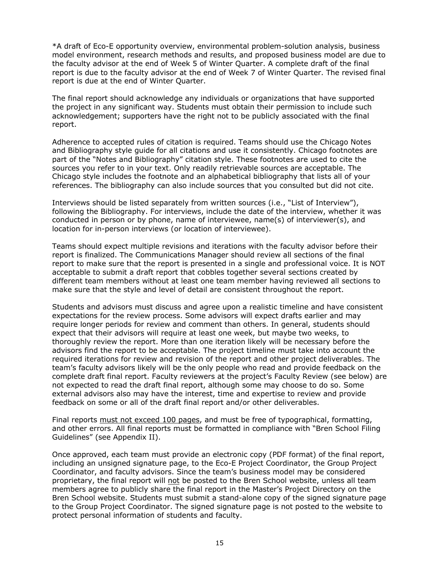\*A draft of Eco-E opportunity overview, environmental problem-solution analysis, business model environment, research methods and results, and proposed business model are due to the faculty advisor at the end of Week 5 of Winter Quarter. A complete draft of the final report is due to the faculty advisor at the end of Week 7 of Winter Quarter. The revised final report is due at the end of Winter Quarter.

The final report should acknowledge any individuals or organizations that have supported the project in any significant way. Students must obtain their permission to include such acknowledgement; supporters have the right not to be publicly associated with the final report.

Adherence to accepted rules of citation is required. Teams should use the Chicago Notes and Bibliography style guide for all citations and use it consistently. Chicago footnotes are part of the "Notes and Bibliography" citation style. These footnotes are used to cite the sources you refer to in your text. Only readily retrievable sources are acceptable. The Chicago style includes the footnote and an alphabetical bibliography that lists all of your references. The bibliography can also include sources that you consulted but did not cite.

Interviews should be listed separately from written sources (i.e., "List of Interview"), following the Bibliography. For interviews, include the date of the interview, whether it was conducted in person or by phone, name of interviewee, name(s) of interviewer(s), and location for in-person interviews (or location of interviewee).

Teams should expect multiple revisions and iterations with the faculty advisor before their report is finalized. The Communications Manager should review all sections of the final report to make sure that the report is presented in a single and professional voice. It is NOT acceptable to submit a draft report that cobbles together several sections created by different team members without at least one team member having reviewed all sections to make sure that the style and level of detail are consistent throughout the report.

Students and advisors must discuss and agree upon a realistic timeline and have consistent expectations for the review process. Some advisors will expect drafts earlier and may require longer periods for review and comment than others. In general, students should expect that their advisors will require at least one week, but maybe two weeks, to thoroughly review the report. More than one iteration likely will be necessary before the advisors find the report to be acceptable. The project timeline must take into account the required iterations for review and revision of the report and other project deliverables. The team's faculty advisors likely will be the only people who read and provide feedback on the complete draft final report. Faculty reviewers at the project's Faculty Review (see below) are not expected to read the draft final report, although some may choose to do so. Some external advisors also may have the interest, time and expertise to review and provide feedback on some or all of the draft final report and/or other deliverables.

Final reports must not exceed 100 pages, and must be free of typographical, formatting, and other errors. All final reports must be formatted in compliance with "Bren School Filing Guidelines" (see Appendix II).

Once approved, each team must provide an electronic copy (PDF format) of the final report, including an unsigned signature page, to the Eco-E Project Coordinator, the Group Project Coordinator, and faculty advisors. Since the team's business model may be considered proprietary, the final report will not be posted to the Bren School website, unless all team members agree to publicly share the final report in the Master's Project Directory on the Bren School website. Students must submit a stand-alone copy of the signed signature page to the Group Project Coordinator. The signed signature page is not posted to the website to protect personal information of students and faculty.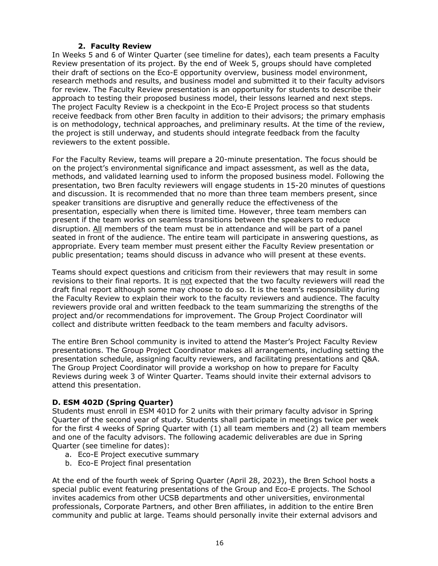## **2. Faculty Review**

In Weeks 5 and 6 of Winter Quarter (see timeline for dates), each team presents a Faculty Review presentation of its project. By the end of Week 5, groups should have completed their draft of sections on the Eco-E opportunity overview, business model environment, research methods and results, and business model and submitted it to their faculty advisors for review. The Faculty Review presentation is an opportunity for students to describe their approach to testing their proposed business model, their lessons learned and next steps. The project Faculty Review is a checkpoint in the Eco-E Project process so that students receive feedback from other Bren faculty in addition to their advisors; the primary emphasis is on methodology, technical approaches, and preliminary results. At the time of the review, the project is still underway, and students should integrate feedback from the faculty reviewers to the extent possible.

For the Faculty Review, teams will prepare a 20-minute presentation. The focus should be on the project's environmental significance and impact assessment, as well as the data, methods, and validated learning used to inform the proposed business model. Following the presentation, two Bren faculty reviewers will engage students in 15-20 minutes of questions and discussion. It is recommended that no more than three team members present, since speaker transitions are disruptive and generally reduce the effectiveness of the presentation, especially when there is limited time. However, three team members can present if the team works on seamless transitions between the speakers to reduce disruption. All members of the team must be in attendance and will be part of a panel seated in front of the audience. The entire team will participate in answering questions, as appropriate. Every team member must present either the Faculty Review presentation or public presentation; teams should discuss in advance who will present at these events.

Teams should expect questions and criticism from their reviewers that may result in some revisions to their final reports. It is not expected that the two faculty reviewers will read the draft final report although some may choose to do so. It is the team's responsibility during the Faculty Review to explain their work to the faculty reviewers and audience. The faculty reviewers provide oral and written feedback to the team summarizing the strengths of the project and/or recommendations for improvement. The Group Project Coordinator will collect and distribute written feedback to the team members and faculty advisors.

The entire Bren School community is invited to attend the Master's Project Faculty Review presentations. The Group Project Coordinator makes all arrangements, including setting the presentation schedule, assigning faculty reviewers, and facilitating presentations and Q&A. The Group Project Coordinator will provide a workshop on how to prepare for Faculty Reviews during week 3 of Winter Quarter. Teams should invite their external advisors to attend this presentation.

# **D. ESM 402D (Spring Quarter)**

Students must enroll in ESM 401D for 2 units with their primary faculty advisor in Spring Quarter of the second year of study. Students shall participate in meetings twice per week for the first 4 weeks of Spring Quarter with (1) all team members and (2) all team members and one of the faculty advisors. The following academic deliverables are due in Spring Quarter (see timeline for dates):

- a. Eco-E Project executive summary
- b. Eco-E Project final presentation

At the end of the fourth week of Spring Quarter (April 28, 2023), the Bren School hosts a special public event featuring presentations of the Group and Eco-E projects. The School invites academics from other UCSB departments and other universities, environmental professionals, Corporate Partners, and other Bren affiliates, in addition to the entire Bren community and public at large. Teams should personally invite their external advisors and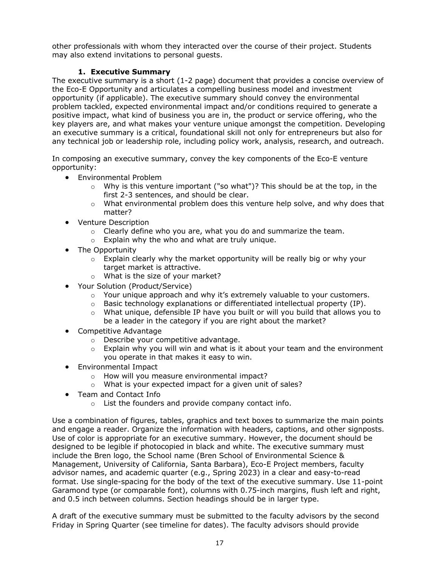other professionals with whom they interacted over the course of their project. Students may also extend invitations to personal guests.

### **1. Executive Summary**

The executive summary is a short (1-2 page) document that provides a concise overview of the Eco-E Opportunity and articulates a compelling business model and investment opportunity (if applicable). The executive summary should convey the environmental problem tackled, expected environmental impact and/or conditions required to generate a positive impact, what kind of business you are in, the product or service offering, who the key players are, and what makes your venture unique amongst the competition. Developing an executive summary is a critical, foundational skill not only for entrepreneurs but also for any technical job or leadership role, including policy work, analysis, research, and outreach.

In composing an executive summary, convey the key components of the Eco-E venture opportunity:

- Environmental Problem
	- $\circ$  Why is this venture important ("so what")? This should be at the top, in the first 2-3 sentences, and should be clear.
	- $\circ$  What environmental problem does this venture help solve, and why does that matter?
- Venture Description
	- $\circ$  Clearly define who you are, what you do and summarize the team.
	- o Explain why the who and what are truly unique.
- The Opportunity
	- $\circ$  Explain clearly why the market opportunity will be really big or why your target market is attractive.
	- o What is the size of your market?
- Your Solution (Product/Service)
	- o Your unique approach and why it's extremely valuable to your customers.
	- o Basic technology explanations or differentiated intellectual property (IP).
	- $\circ$  What unique, defensible IP have you built or will you build that allows you to be a leader in the category if you are right about the market?
- Competitive Advantage
	- o Describe your competitive advantage.
	- $\circ$  Explain why you will win and what is it about your team and the environment you operate in that makes it easy to win.
- Environmental Impact
	- o How will you measure environmental impact?
	- o What is your expected impact for a given unit of sales?
- Team and Contact Info
	- o List the founders and provide company contact info.

Use a combination of figures, tables, graphics and text boxes to summarize the main points and engage a reader. Organize the information with headers, captions, and other signposts. Use of color is appropriate for an executive summary. However, the document should be designed to be legible if photocopied in black and white. The executive summary must include the Bren logo, the School name (Bren School of Environmental Science & Management, University of California, Santa Barbara), Eco-E Project members, faculty advisor names, and academic quarter (e.g., Spring 2023) in a clear and easy-to-read format. Use single-spacing for the body of the text of the executive summary. Use 11-point Garamond type (or comparable font), columns with 0.75-inch margins, flush left and right, and 0.5 inch between columns. Section headings should be in larger type.

A draft of the executive summary must be submitted to the faculty advisors by the second Friday in Spring Quarter (see timeline for dates). The faculty advisors should provide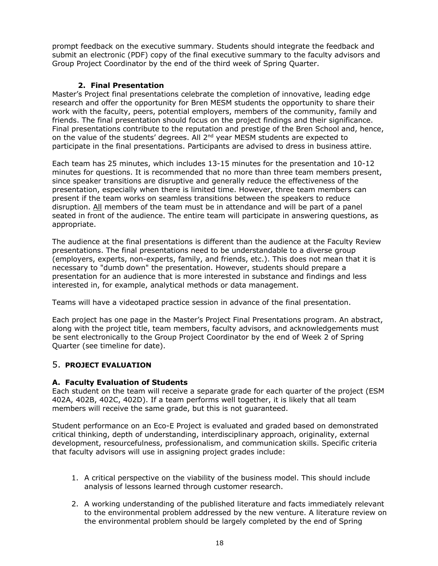prompt feedback on the executive summary. Students should integrate the feedback and submit an electronic (PDF) copy of the final executive summary to the faculty advisors and Group Project Coordinator by the end of the third week of Spring Quarter.

### **2. Final Presentation**

Master's Project final presentations celebrate the completion of innovative, leading edge research and offer the opportunity for Bren MESM students the opportunity to share their work with the faculty, peers, potential employers, members of the community, family and friends. The final presentation should focus on the project findings and their significance. Final presentations contribute to the reputation and prestige of the Bren School and, hence, on the value of the students' degrees. All 2<sup>nd</sup> year MESM students are expected to participate in the final presentations. Participants are advised to dress in business attire.

Each team has 25 minutes, which includes 13-15 minutes for the presentation and 10-12 minutes for questions. It is recommended that no more than three team members present, since speaker transitions are disruptive and generally reduce the effectiveness of the presentation, especially when there is limited time. However, three team members can present if the team works on seamless transitions between the speakers to reduce disruption. All members of the team must be in attendance and will be part of a panel seated in front of the audience. The entire team will participate in answering questions, as appropriate.

The audience at the final presentations is different than the audience at the Faculty Review presentations. The final presentations need to be understandable to a diverse group (employers, experts, non-experts, family, and friends, etc.). This does not mean that it is necessary to "dumb down" the presentation. However, students should prepare a presentation for an audience that is more interested in substance and findings and less interested in, for example, analytical methods or data management.

Teams will have a videotaped practice session in advance of the final presentation.

Each project has one page in the Master's Project Final Presentations program. An abstract, along with the project title, team members, faculty advisors, and acknowledgements must be sent electronically to the Group Project Coordinator by the end of Week 2 of Spring Quarter (see timeline for date).

# 5. **PROJECT EVALUATION**

### **A. Faculty Evaluation of Students**

Each student on the team will receive a separate grade for each quarter of the project (ESM 402A, 402B, 402C, 402D). If a team performs well together, it is likely that all team members will receive the same grade, but this is not guaranteed.

Student performance on an Eco-E Project is evaluated and graded based on demonstrated critical thinking, depth of understanding, interdisciplinary approach, originality, external development, resourcefulness, professionalism, and communication skills. Specific criteria that faculty advisors will use in assigning project grades include:

- 1. A critical perspective on the viability of the business model. This should include analysis of lessons learned through customer research.
- 2. A working understanding of the published literature and facts immediately relevant to the environmental problem addressed by the new venture. A literature review on the environmental problem should be largely completed by the end of Spring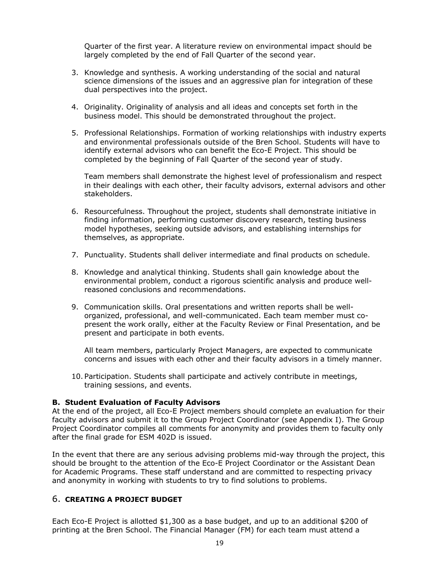Quarter of the first year. A literature review on environmental impact should be largely completed by the end of Fall Quarter of the second year.

- 3. Knowledge and synthesis. A working understanding of the social and natural science dimensions of the issues and an aggressive plan for integration of these dual perspectives into the project.
- 4. Originality. Originality of analysis and all ideas and concepts set forth in the business model. This should be demonstrated throughout the project.
- 5. Professional Relationships. Formation of working relationships with industry experts and environmental professionals outside of the Bren School. Students will have to identify external advisors who can benefit the Eco-E Project. This should be completed by the beginning of Fall Quarter of the second year of study.

Team members shall demonstrate the highest level of professionalism and respect in their dealings with each other, their faculty advisors, external advisors and other stakeholders.

- 6. Resourcefulness. Throughout the project, students shall demonstrate initiative in finding information, performing customer discovery research, testing business model hypotheses, seeking outside advisors, and establishing internships for themselves, as appropriate.
- 7. Punctuality. Students shall deliver intermediate and final products on schedule.
- 8. Knowledge and analytical thinking. Students shall gain knowledge about the environmental problem, conduct a rigorous scientific analysis and produce wellreasoned conclusions and recommendations.
- 9. Communication skills. Oral presentations and written reports shall be wellorganized, professional, and well-communicated. Each team member must copresent the work orally, either at the Faculty Review or Final Presentation, and be present and participate in both events.

All team members, particularly Project Managers, are expected to communicate concerns and issues with each other and their faculty advisors in a timely manner.

10. Participation. Students shall participate and actively contribute in meetings, training sessions, and events.

#### **B. Student Evaluation of Faculty Advisors**

At the end of the project, all Eco-E Project members should complete an evaluation for their faculty advisors and submit it to the Group Project Coordinator (see Appendix I). The Group Project Coordinator compiles all comments for anonymity and provides them to faculty only after the final grade for ESM 402D is issued.

In the event that there are any serious advising problems mid-way through the project, this should be brought to the attention of the Eco-E Project Coordinator or the Assistant Dean for Academic Programs. These staff understand and are committed to respecting privacy and anonymity in working with students to try to find solutions to problems.

### 6. **CREATING A PROJECT BUDGET**

Each Eco-E Project is allotted \$1,300 as a base budget, and up to an additional \$200 of printing at the Bren School. The Financial Manager (FM) for each team must attend a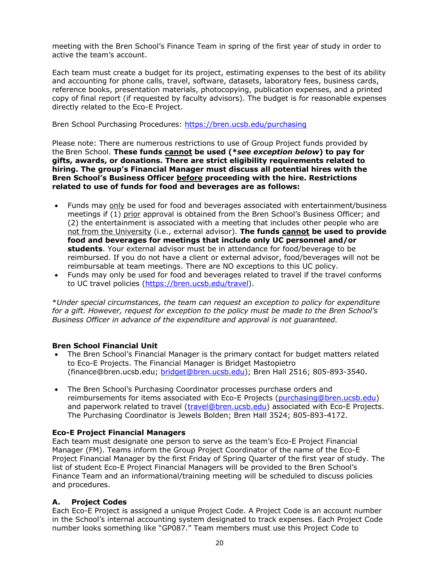meeting with the Bren School's Finance Team in spring of the first year of study in order to active the team's account.

Each team must create a budget for its project, estimating expenses to the best of its ability and accounting for phone calls, travel, software, datasets, laboratory fees, business cards, reference books, presentation materials, photocopying, publication expenses, and a printed copy of final report (if requested by faculty advisors). The budget is for reasonable expenses directly related to the Eco-E Project.

Bren School Purchasing Procedures: https://bren.ucsb.edu/purchasing

Please note: There are numerous restrictions to use of Group Project funds provided by the Bren School. **These funds cannot be used (\****see exception below***) to pay for gifts, awards, or donations. There are strict eligibility requirements related to hiring. The group's Financial Manager must discuss all potential hires with the Bren School's Business Officer before proceeding with the hire. Restrictions related to use of funds for food and beverages are as follows:**

- Funds may only be used for food and beverages associated with entertainment/business meetings if (1) prior approval is obtained from the Bren School's Business Officer; and (2) the entertainment is associated with a meeting that includes other people who are not from the University (i.e., external advisor). **The funds cannot be used to provide food and beverages for meetings that include only UC personnel and/or students**. Your external advisor must be in attendance for food/beverage to be reimbursed. If you do not have a client or external advisor, food/beverages will not be reimbursable at team meetings. There are NO exceptions to this UC policy.
- Funds may only be used for food and beverages related to travel if the travel conforms to UC travel policies (https://bren.ucsb.edu/travel).

\**Under special circumstances, the team can request an exception to policy for expenditure for a gift. However, request for exception to the policy must be made to the Bren School's Business Officer in advance of the expenditure and approval is not guaranteed.*

### **Bren School Financial Unit**

- The Bren School's Financial Manager is the primary contact for budget matters related to Eco-E Projects. The Financial Manager is Bridget Mastopietro (finance@bren.ucsb.edu; bridget@bren.ucsb.edu); Bren Hall 2516; 805-893-3540.
- The Bren School's Purchasing Coordinator processes purchase orders and reimbursements for items associated with Eco-E Projects (purchasing@bren.ucsb.edu) and paperwork related to travel (travel@bren.ucsb.edu) associated with Eco-E Projects. The Purchasing Coordinator is Jewels Bolden; Bren Hall 3524; 805-893-4172.

### **Eco-E Project Financial Managers**

Each team must designate one person to serve as the team's Eco-E Project Financial Manager (FM). Teams inform the Group Project Coordinator of the name of the Eco-E Project Financial Manager by the first Friday of Spring Quarter of the first year of study. The list of student Eco-E Project Financial Managers will be provided to the Bren School's Finance Team and an informational/training meeting will be scheduled to discuss policies and procedures.

### **A. Project Codes**

Each Eco-E Project is assigned a unique Project Code. A Project Code is an account number in the School's internal accounting system designated to track expenses. Each Project Code number looks something like "GP087." Team members must use this Project Code to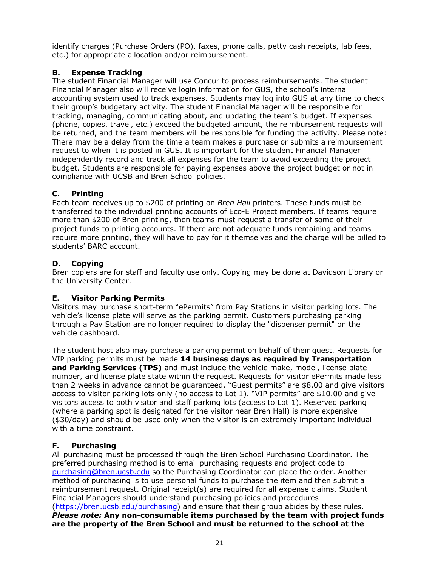identify charges (Purchase Orders (PO), faxes, phone calls, petty cash receipts, lab fees, etc.) for appropriate allocation and/or reimbursement.

# **B. Expense Tracking**

The student Financial Manager will use Concur to process reimbursements. The student Financial Manager also will receive login information for GUS, the school's internal accounting system used to track expenses. Students may log into GUS at any time to check their group's budgetary activity. The student Financial Manager will be responsible for tracking, managing, communicating about, and updating the team's budget. If expenses (phone, copies, travel, etc.) exceed the budgeted amount, the reimbursement requests will be returned, and the team members will be responsible for funding the activity. Please note: There may be a delay from the time a team makes a purchase or submits a reimbursement request to when it is posted in GUS. It is important for the student Financial Manager independently record and track all expenses for the team to avoid exceeding the project budget. Students are responsible for paying expenses above the project budget or not in compliance with UCSB and Bren School policies.

# **C. Printing**

Each team receives up to \$200 of printing on *Bren Hall* printers. These funds must be transferred to the individual printing accounts of Eco-E Project members. If teams require more than \$200 of Bren printing, then teams must request a transfer of some of their project funds to printing accounts. If there are not adequate funds remaining and teams require more printing, they will have to pay for it themselves and the charge will be billed to students' BARC account.

# **D. Copying**

Bren copiers are for staff and faculty use only. Copying may be done at Davidson Library or the University Center.

# **E. Visitor Parking Permits**

Visitors may purchase short-term "ePermits" from Pay Stations in visitor parking lots. The vehicle's license plate will serve as the parking permit. Customers purchasing parking through a Pay Station are no longer required to display the "dispenser permit" on the vehicle dashboard.

The student host also may purchase a parking permit on behalf of their guest. Requests for VIP parking permits must be made **14 business days as required by Transportation and Parking Services (TPS)** and must include the vehicle make, model, license plate number, and license plate state within the request. Requests for visitor ePermits made less than 2 weeks in advance cannot be guaranteed. "Guest permits" are \$8.00 and give visitors access to visitor parking lots only (no access to Lot 1). "VIP permits" are \$10.00 and give visitors access to both visitor and staff parking lots (access to Lot 1). Reserved parking (where a parking spot is designated for the visitor near Bren Hall) is more expensive (\$30/day) and should be used only when the visitor is an extremely important individual with a time constraint.

# **F. Purchasing**

All purchasing must be processed through the Bren School Purchasing Coordinator. The preferred purchasing method is to email purchasing requests and project code to purchasing@bren.ucsb.edu so the Purchasing Coordinator can place the order. Another method of purchasing is to use personal funds to purchase the item and then submit a reimbursement request. Original receipt(s) are required for all expense claims. Student Financial Managers should understand purchasing policies and procedures (https://bren.ucsb.edu/purchasing) and ensure that their group abides by these rules. *Please note:* **Any non-consumable items purchased by the team with project funds are the property of the Bren School and must be returned to the school at the**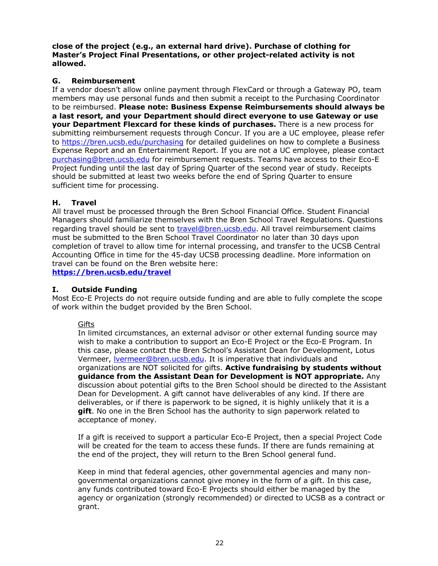**close of the project (e.g., an external hard drive). Purchase of clothing for Master's Project Final Presentations, or other project-related activity is not allowed.** 

# **G. Reimbursement**

If a vendor doesn't allow online payment through FlexCard or through a Gateway PO, team members may use personal funds and then submit a receipt to the Purchasing Coordinator to be reimbursed. **Please note: Business Expense Reimbursements should always be a last resort, and your Department should direct everyone to use Gateway or use your Department Flexcard for these kinds of purchases.** There is a new process for submitting reimbursement requests through Concur. If you are a UC employee, please refer to https://bren.ucsb.edu/purchasing for detailed guidelines on how to complete a Business Expense Report and an Entertainment Report. If you are not a UC employee, please contact purchasing@bren.ucsb.edu for reimbursement requests. Teams have access to their Eco-E Project funding until the last day of Spring Quarter of the second year of study. Receipts should be submitted at least two weeks before the end of Spring Quarter to ensure sufficient time for processing.

# **H. Travel**

All travel must be processed through the Bren School Financial Office. Student Financial Managers should familiarize themselves with the Bren School Travel Regulations. Questions regarding travel should be sent to travel@bren.ucsb.edu. All travel reimbursement claims must be submitted to the Bren School Travel Coordinator no later than 30 days upon completion of travel to allow time for internal processing, and transfer to the UCSB Central Accounting Office in time for the 45-day UCSB processing deadline. More information on travel can be found on the Bren website here:

**https://bren.ucsb.edu/travel**

# **I. Outside Funding**

Most Eco-E Projects do not require outside funding and are able to fully complete the scope of work within the budget provided by the Bren School.

### **Gifts**

In limited circumstances, an external advisor or other external funding source may wish to make a contribution to support an Eco-E Project or the Eco-E Program. In this case, please contact the Bren School's Assistant Dean for Development, Lotus Vermeer, lvermeer@bren.ucsb.edu. It is imperative that individuals and organizations are NOT solicited for gifts. **Active fundraising by students without guidance from the Assistant Dean for Development is NOT appropriate.** Any discussion about potential gifts to the Bren School should be directed to the Assistant Dean for Development. A gift cannot have deliverables of any kind. If there are deliverables, or if there is paperwork to be signed, it is highly unlikely that it is a **gift**. No one in the Bren School has the authority to sign paperwork related to acceptance of money.

If a gift is received to support a particular Eco-E Project, then a special Project Code will be created for the team to access these funds. If there are funds remaining at the end of the project, they will return to the Bren School general fund.

Keep in mind that federal agencies, other governmental agencies and many nongovernmental organizations cannot give money in the form of a gift. In this case, any funds contributed toward Eco-E Projects should either be managed by the agency or organization (strongly recommended) or directed to UCSB as a contract or grant.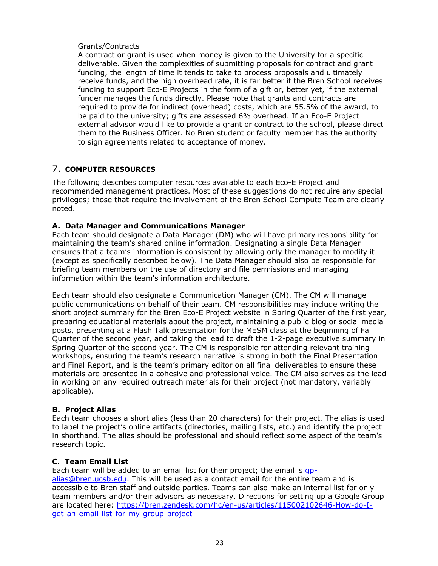### Grants/Contracts

A contract or grant is used when money is given to the University for a specific deliverable. Given the complexities of submitting proposals for contract and grant funding, the length of time it tends to take to process proposals and ultimately receive funds, and the high overhead rate, it is far better if the Bren School receives funding to support Eco-E Projects in the form of a gift or, better yet, if the external funder manages the funds directly. Please note that grants and contracts are required to provide for indirect (overhead) costs, which are 55.5% of the award, to be paid to the university; gifts are assessed 6% overhead. If an Eco-E Project external advisor would like to provide a grant or contract to the school, please direct them to the Business Officer. No Bren student or faculty member has the authority to sign agreements related to acceptance of money.

# 7. **COMPUTER RESOURCES**

The following describes computer resources available to each Eco-E Project and recommended management practices. Most of these suggestions do not require any special privileges; those that require the involvement of the Bren School Compute Team are clearly noted.

### **A. Data Manager and Communications Manager**

Each team should designate a Data Manager (DM) who will have primary responsibility for maintaining the team's shared online information. Designating a single Data Manager ensures that a team's information is consistent by allowing only the manager to modify it (except as specifically described below). The Data Manager should also be responsible for briefing team members on the use of directory and file permissions and managing information within the team's information architecture.

Each team should also designate a Communication Manager (CM). The CM will manage public communications on behalf of their team. CM responsibilities may include writing the short project summary for the Bren Eco-E Project website in Spring Quarter of the first year, preparing educational materials about the project, maintaining a public blog or social media posts, presenting at a Flash Talk presentation for the MESM class at the beginning of Fall Quarter of the second year, and taking the lead to draft the 1-2-page executive summary in Spring Quarter of the second year. The CM is responsible for attending relevant training workshops, ensuring the team's research narrative is strong in both the Final Presentation and Final Report, and is the team's primary editor on all final deliverables to ensure these materials are presented in a cohesive and professional voice. The CM also serves as the lead in working on any required outreach materials for their project (not mandatory, variably applicable).

#### **B. Project Alias**

Each team chooses a short alias (less than 20 characters) for their project. The alias is used to label the project's online artifacts (directories, mailing lists, etc.) and identify the project in shorthand. The alias should be professional and should reflect some aspect of the team's research topic.

### **C. Team Email List**

Each team will be added to an email list for their project; the email is qpalias@bren.ucsb.edu. This will be used as a contact email for the entire team and is accessible to Bren staff and outside parties. Teams can also make an internal list for only team members and/or their advisors as necessary. Directions for setting up a Google Group are located here: https://bren.zendesk.com/hc/en-us/articles/115002102646-How-do-Iget-an-email-list-for-my-group-project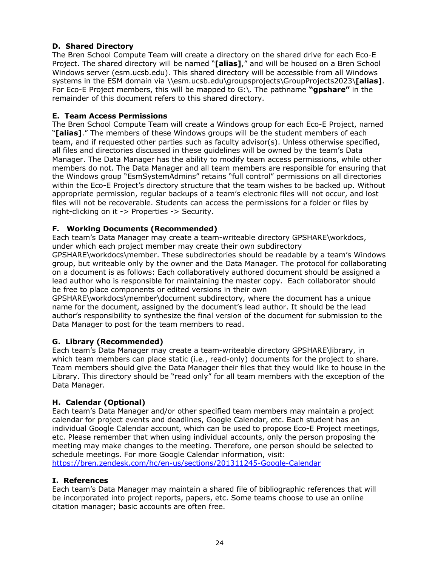# **D. Shared Directory**

The Bren School Compute Team will create a directory on the shared drive for each Eco-E Project. The shared directory will be named "**[alias]**," and will be housed on a Bren School Windows server (esm.ucsb.edu). This shared directory will be accessible from all Windows systems in the ESM domain via \\esm.ucsb.edu\groupsprojects\GroupProjects2023\**[alias]**. For Eco-E Project members, this will be mapped to G:\. The pathname **"gpshare"** in the remainder of this document refers to this shared directory.

### **E. Team Access Permissions**

The Bren School Compute Team will create a Windows group for each Eco-E Project, named "**[alias]**." The members of these Windows groups will be the student members of each team, and if requested other parties such as faculty advisor(s). Unless otherwise specified, all files and directories discussed in these guidelines will be owned by the team's Data Manager. The Data Manager has the ability to modify team access permissions, while other members do not. The Data Manager and all team members are responsible for ensuring that the Windows group "EsmSystemAdmins" retains "full control" permissions on all directories within the Eco-E Project's directory structure that the team wishes to be backed up. Without appropriate permission, regular backups of a team's electronic files will not occur, and lost files will not be recoverable. Students can access the permissions for a folder or files by right-clicking on it -> Properties -> Security.

### **F. Working Documents (Recommended)**

Each team's Data Manager may create a team-writeable directory GPSHARE\workdocs, under which each project member may create their own subdirectory

GPSHARE\workdocs\member. These subdirectories should be readable by a team's Windows group, but writeable only by the owner and the Data Manager. The protocol for collaborating on a document is as follows: Each collaboratively authored document should be assigned a lead author who is responsible for maintaining the master copy. Each collaborator should be free to place components or edited versions in their own

GPSHARE\workdocs\member\document subdirectory, where the document has a unique name for the document, assigned by the document's lead author. It should be the lead author's responsibility to synthesize the final version of the document for submission to the Data Manager to post for the team members to read.

### **G. Library (Recommended)**

Each team's Data Manager may create a team-writeable directory GPSHARE\library, in which team members can place static (i.e., read-only) documents for the project to share. Team members should give the Data Manager their files that they would like to house in the Library. This directory should be "read only" for all team members with the exception of the Data Manager.

### **H. Calendar (Optional)**

Each team's Data Manager and/or other specified team members may maintain a project calendar for project events and deadlines, Google Calendar, etc. Each student has an individual Google Calendar account, which can be used to propose Eco-E Project meetings, etc. Please remember that when using individual accounts, only the person proposing the meeting may make changes to the meeting. Therefore, one person should be selected to schedule meetings. For more Google Calendar information, visit: https://bren.zendesk.com/hc/en-us/sections/201311245-Google-Calendar

#### **I. References**

Each team's Data Manager may maintain a shared file of bibliographic references that will be incorporated into project reports, papers, etc. Some teams choose to use an online citation manager; basic accounts are often free.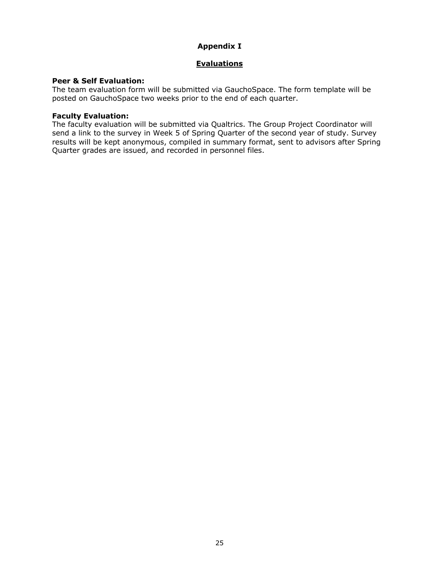# **Appendix I**

### **Evaluations**

### **Peer & Self Evaluation:**

The team evaluation form will be submitted via GauchoSpace. The form template will be posted on GauchoSpace two weeks prior to the end of each quarter.

### **Faculty Evaluation:**

The faculty evaluation will be submitted via Qualtrics. The Group Project Coordinator will send a link to the survey in Week 5 of Spring Quarter of the second year of study. Survey results will be kept anonymous, compiled in summary format, sent to advisors after Spring Quarter grades are issued, and recorded in personnel files.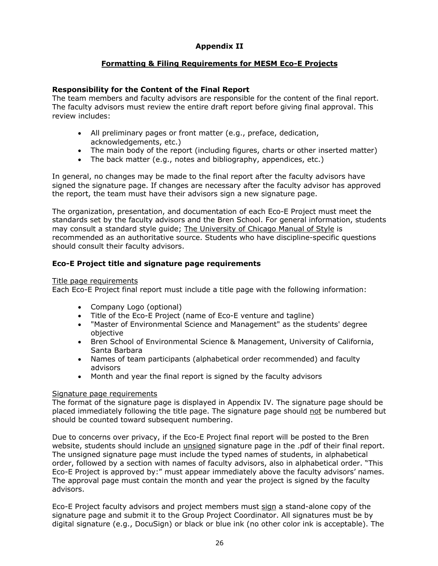# **Appendix II**

### **Formatting & Filing Requirements for MESM Eco-E Projects**

### **Responsibility for the Content of the Final Report**

The team members and faculty advisors are responsible for the content of the final report. The faculty advisors must review the entire draft report before giving final approval. This review includes:

- All preliminary pages or front matter (e.g., preface, dedication, acknowledgements, etc.)
- The main body of the report (including figures, charts or other inserted matter)
- The back matter (e.g., notes and bibliography, appendices, etc.)

In general, no changes may be made to the final report after the faculty advisors have signed the signature page. If changes are necessary after the faculty advisor has approved the report, the team must have their advisors sign a new signature page.

The organization, presentation, and documentation of each Eco-E Project must meet the standards set by the faculty advisors and the Bren School. For general information, students may consult a standard style guide; The University of Chicago Manual of Style is recommended as an authoritative source. Students who have discipline-specific questions should consult their faculty advisors.

### **Eco-E Project title and signature page requirements**

#### Title page requirements

Each Eco-E Project final report must include a title page with the following information:

- Company Logo (optional)
- Title of the Eco-E Project (name of Eco-E venture and tagline)
- "Master of Environmental Science and Management" as the students' degree objective
- Bren School of Environmental Science & Management, University of California, Santa Barbara
- Names of team participants (alphabetical order recommended) and faculty advisors
- Month and year the final report is signed by the faculty advisors

#### Signature page requirements

The format of the signature page is displayed in Appendix IV. The signature page should be placed immediately following the title page. The signature page should not be numbered but should be counted toward subsequent numbering.

Due to concerns over privacy, if the Eco-E Project final report will be posted to the Bren website, students should include an unsigned signature page in the .pdf of their final report. The unsigned signature page must include the typed names of students, in alphabetical order, followed by a section with names of faculty advisors, also in alphabetical order. "This Eco-E Project is approved by:" must appear immediately above the faculty advisors' names. The approval page must contain the month and year the project is signed by the faculty advisors.

Eco-E Project faculty advisors and project members must sign a stand-alone copy of the signature page and submit it to the Group Project Coordinator. All signatures must be by digital signature (e.g., DocuSign) or black or blue ink (no other color ink is acceptable). The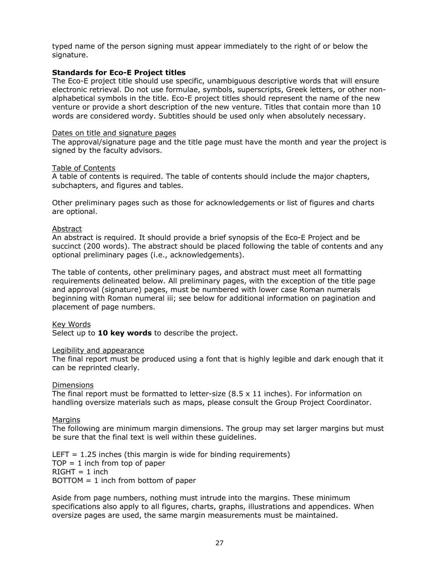typed name of the person signing must appear immediately to the right of or below the signature.

#### **Standards for Eco-E Project titles**

The Eco-E project title should use specific, unambiguous descriptive words that will ensure electronic retrieval. Do not use formulae, symbols, superscripts, Greek letters, or other nonalphabetical symbols in the title. Eco-E project titles should represent the name of the new venture or provide a short description of the new venture. Titles that contain more than 10 words are considered wordy. Subtitles should be used only when absolutely necessary.

#### Dates on title and signature pages

The approval/signature page and the title page must have the month and year the project is signed by the faculty advisors.

#### Table of Contents

A table of contents is required. The table of contents should include the major chapters, subchapters, and figures and tables.

Other preliminary pages such as those for acknowledgements or list of figures and charts are optional.

#### Abstract

An abstract is required. It should provide a brief synopsis of the Eco-E Project and be succinct (200 words). The abstract should be placed following the table of contents and any optional preliminary pages (i.e., acknowledgements).

The table of contents, other preliminary pages, and abstract must meet all formatting requirements delineated below. All preliminary pages, with the exception of the title page and approval (signature) pages, must be numbered with lower case Roman numerals beginning with Roman numeral iii; see below for additional information on pagination and placement of page numbers.

#### Key Words

Select up to **10 key words** to describe the project.

#### Legibility and appearance

The final report must be produced using a font that is highly legible and dark enough that it can be reprinted clearly.

#### **Dimensions**

The final report must be formatted to letter-size  $(8.5 \times 11)$  inches). For information on handling oversize materials such as maps, please consult the Group Project Coordinator.

#### **Margins**

The following are minimum margin dimensions. The group may set larger margins but must be sure that the final text is well within these guidelines.

LEFT  $= 1.25$  inches (this margin is wide for binding requirements)  $TOP = 1$  inch from top of paper  $RIGHT = 1$  inch  $BOTTOM = 1$  inch from bottom of paper

Aside from page numbers, nothing must intrude into the margins. These minimum specifications also apply to all figures, charts, graphs, illustrations and appendices. When oversize pages are used, the same margin measurements must be maintained.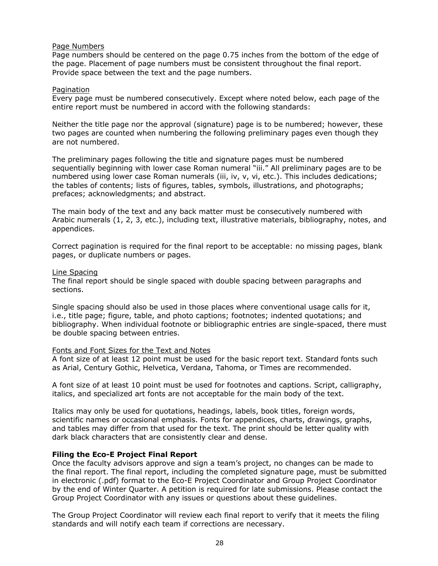#### Page Numbers

Page numbers should be centered on the page 0.75 inches from the bottom of the edge of the page. Placement of page numbers must be consistent throughout the final report. Provide space between the text and the page numbers.

#### Pagination

Every page must be numbered consecutively. Except where noted below, each page of the entire report must be numbered in accord with the following standards:

Neither the title page nor the approval (signature) page is to be numbered; however, these two pages are counted when numbering the following preliminary pages even though they are not numbered.

The preliminary pages following the title and signature pages must be numbered sequentially beginning with lower case Roman numeral "iii." All preliminary pages are to be numbered using lower case Roman numerals (iii, iv, v, vi, etc.). This includes dedications; the tables of contents; lists of figures, tables, symbols, illustrations, and photographs; prefaces; acknowledgments; and abstract.

The main body of the text and any back matter must be consecutively numbered with Arabic numerals (1, 2, 3, etc.), including text, illustrative materials, bibliography, notes, and appendices.

Correct pagination is required for the final report to be acceptable: no missing pages, blank pages, or duplicate numbers or pages.

#### Line Spacing

The final report should be single spaced with double spacing between paragraphs and sections.

Single spacing should also be used in those places where conventional usage calls for it, i.e., title page; figure, table, and photo captions; footnotes; indented quotations; and bibliography. When individual footnote or bibliographic entries are single-spaced, there must be double spacing between entries.

#### Fonts and Font Sizes for the Text and Notes

A font size of at least 12 point must be used for the basic report text. Standard fonts such as Arial, Century Gothic, Helvetica, Verdana, Tahoma, or Times are recommended.

A font size of at least 10 point must be used for footnotes and captions. Script, calligraphy, italics, and specialized art fonts are not acceptable for the main body of the text.

Italics may only be used for quotations, headings, labels, book titles, foreign words, scientific names or occasional emphasis. Fonts for appendices, charts, drawings, graphs, and tables may differ from that used for the text. The print should be letter quality with dark black characters that are consistently clear and dense.

#### **Filing the Eco-E Project Final Report**

Once the faculty advisors approve and sign a team's project, no changes can be made to the final report. The final report, including the completed signature page, must be submitted in electronic (.pdf) format to the Eco-E Project Coordinator and Group Project Coordinator by the end of Winter Quarter. A petition is required for late submissions. Please contact the Group Project Coordinator with any issues or questions about these guidelines.

The Group Project Coordinator will review each final report to verify that it meets the filing standards and will notify each team if corrections are necessary.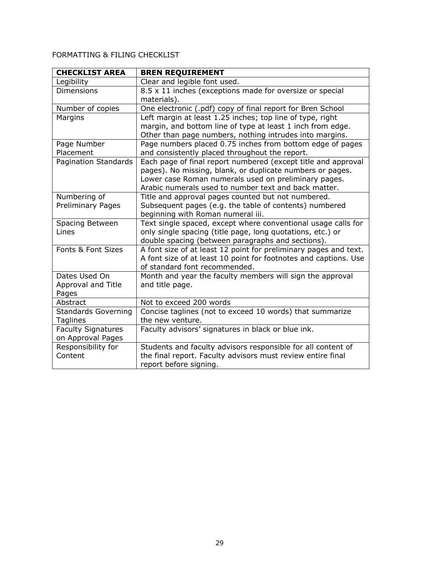# FORMATTING & FILING CHECKLIST

| <b>CHECKLIST AREA</b>      | <b>BREN REQUIREMENT</b>                                                                                         |  |  |
|----------------------------|-----------------------------------------------------------------------------------------------------------------|--|--|
| Legibility                 | Clear and legible font used.                                                                                    |  |  |
| <b>Dimensions</b>          | 8.5 x 11 inches (exceptions made for oversize or special                                                        |  |  |
|                            | materials).                                                                                                     |  |  |
| Number of copies           | One electronic (.pdf) copy of final report for Bren School                                                      |  |  |
| Margins                    | Left margin at least 1.25 inches; top line of type, right                                                       |  |  |
|                            | margin, and bottom line of type at least 1 inch from edge.                                                      |  |  |
|                            | Other than page numbers, nothing intrudes into margins.                                                         |  |  |
| Page Number                | Page numbers placed 0.75 inches from bottom edge of pages                                                       |  |  |
| Placement                  | and consistently placed throughout the report.                                                                  |  |  |
| Pagination Standards       | Each page of final report numbered (except title and approval                                                   |  |  |
|                            | pages). No missing, blank, or duplicate numbers or pages.                                                       |  |  |
|                            | Lower case Roman numerals used on preliminary pages.                                                            |  |  |
|                            | Arabic numerals used to number text and back matter.                                                            |  |  |
| Numbering of               | Title and approval pages counted but not numbered.                                                              |  |  |
| <b>Preliminary Pages</b>   | Subsequent pages (e.g. the table of contents) numbered                                                          |  |  |
|                            | beginning with Roman numeral iii.                                                                               |  |  |
| Spacing Between            | Text single spaced, except where conventional usage calls for                                                   |  |  |
| Lines                      | only single spacing (title page, long quotations, etc.) or<br>double spacing (between paragraphs and sections). |  |  |
| Fonts & Font Sizes         | A font size of at least 12 point for preliminary pages and text.                                                |  |  |
|                            | A font size of at least 10 point for footnotes and captions. Use                                                |  |  |
|                            | of standard font recommended.                                                                                   |  |  |
| Dates Used On              | Month and year the faculty members will sign the approval                                                       |  |  |
| Approval and Title         | and title page.                                                                                                 |  |  |
| Pages                      |                                                                                                                 |  |  |
| Abstract                   | Not to exceed 200 words                                                                                         |  |  |
| <b>Standards Governing</b> | Concise taglines (not to exceed 10 words) that summarize                                                        |  |  |
| Taglines                   | the new venture.                                                                                                |  |  |
| <b>Faculty Signatures</b>  | Faculty advisors' signatures in black or blue ink.                                                              |  |  |
| on Approval Pages          |                                                                                                                 |  |  |
| Responsibility for         | Students and faculty advisors responsible for all content of                                                    |  |  |
| Content                    | the final report. Faculty advisors must review entire final                                                     |  |  |
|                            | report before signing.                                                                                          |  |  |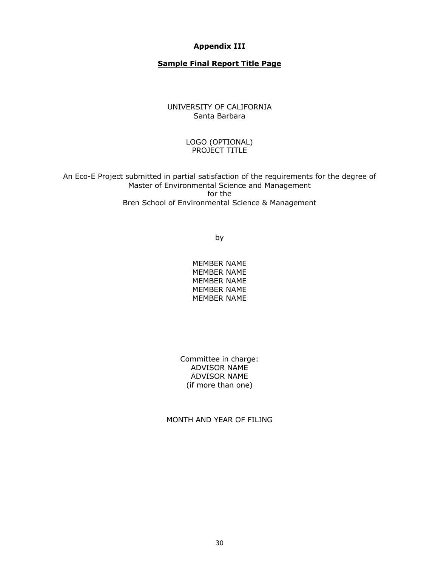#### **Appendix III**

### **Sample Final Report Title Page**

### UNIVERSITY OF CALIFORNIA Santa Barbara

#### LOGO (OPTIONAL) PROJECT TITLE

An Eco-E Project submitted in partial satisfaction of the requirements for the degree of Master of Environmental Science and Management for the Bren School of Environmental Science & Management

by

MEMBER NAME MEMBER NAME MEMBER NAME MEMBER NAME MEMBER NAME

Committee in charge: ADVISOR NAME ADVISOR NAME (if more than one)

MONTH AND YEAR OF FILING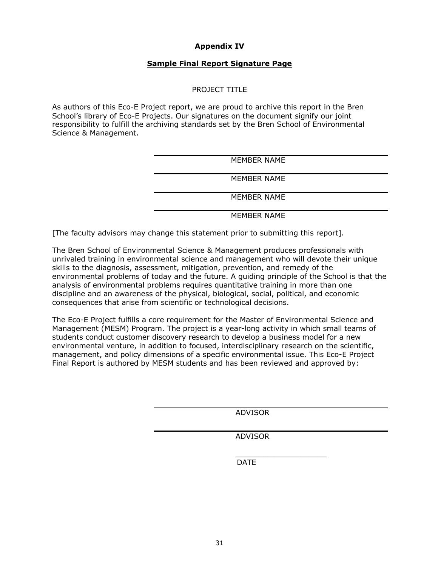### **Appendix IV**

#### **Sample Final Report Signature Page**

#### PROJECT TITLE

As authors of this Eco-E Project report, we are proud to archive this report in the Bren School's library of Eco-E Projects. Our signatures on the document signify our joint responsibility to fulfill the archiving standards set by the Bren School of Environmental Science & Management.

| MEMBER NAME        |
|--------------------|
|                    |
| MEMBER NAME        |
| <b>MEMBER NAME</b> |
|                    |

MEMBER NAME

[The faculty advisors may change this statement prior to submitting this report].

The Bren School of Environmental Science & Management produces professionals with unrivaled training in environmental science and management who will devote their unique skills to the diagnosis, assessment, mitigation, prevention, and remedy of the environmental problems of today and the future. A guiding principle of the School is that the analysis of environmental problems requires quantitative training in more than one discipline and an awareness of the physical, biological, social, political, and economic consequences that arise from scientific or technological decisions.

The Eco-E Project fulfills a core requirement for the Master of Environmental Science and Management (MESM) Program. The project is a year-long activity in which small teams of students conduct customer discovery research to develop a business model for a new environmental venture, in addition to focused, interdisciplinary research on the scientific, management, and policy dimensions of a specific environmental issue. This Eco-E Project Final Report is authored by MESM students and has been reviewed and approved by:

ADVISOR

ADVISOR

\_\_\_\_\_\_\_\_\_\_\_\_\_\_\_\_\_\_\_\_

DATE